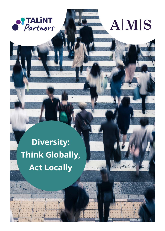

## AMS

## **Diversity: Think Globally, Act Locally**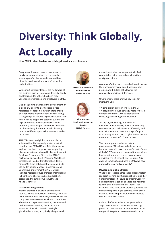# **Diversity: Think Globally,**

### **Act Locally**

**How EMEA talent leaders are driving diversity across borders**

Every week, it seems there is new research published demonstrating the commercial advantages of a diverse workforce and how hiring inclusivity can improve staff attraction and retention.

While most company leaders are well aware of the business case for improving Diversity, Equity and Inclusion (DEI), there has been wide variation in progress among employers in EMEA.

One idea gaining traction is the development of a global DEI policy to clarify best practice regardless of location. However, there are big question marks over whether an over-arching strategy helps or hinders regional initiatives, and how it can be adapted to cater for cultural and legal differences. An initiative focussed on promoting more people from ethnic minorities in Johannesburg, for example, will obviously require a different approach than one in Berlin or London.

TALiNT Partners and global total workforce solutions firm AMS recently hosted a virtual roundtable of EMEA HR and Talent Leaders to explore how their companies are supporting diverse recruitment, chaired by Debra Sparshott, Employer Programme Director for TALiNT Partners, alongside Brett O'Connor, AMS Client Director and Head of Transformation, Jamie Pirie, AMS Client Solutions Director, and Stella Steigleder, Senior Manager Governance and Continuous Improvement at AMS. Guests included representatives of major organisations in healthcare, pharmaceuticals, education, aerospace, the automotive industry and financial services.

#### **Data versus Programmes**

Making progress in diversity and inclusion requires a multi-dimensional mind-set, says AMS Client Director Brett O'Connor, who co-chairs the company's EMEA Diversity Inclusion Committee. There is the corporate dimension; the team and performance dimension; the political and economic dimension in an increasingly globalised economy; and, finally, the personal



**Dawn Gibson-Fawcett Features Writer TALiNT Partners**



**Debra Sparshott Employer Programme Director TALiNT Partners**

dimension of whether people actually feel comfortable being themselves within their workplace culture.

A company's strategy is typically driven by where their headquarters are based, which can be problematic if it does not allow for the complexity of regional differences.

O'Connor says there are two key tools for improving DEI:

• A data-driven strategy, typical in the US • A programme-driven strategy, more typical in European countries with stricter laws on collecting and sharing candidate data

"In the US, data is king, but if you're headquartered in France, Poland or Germany, you have to approach diversity differently, and even within Europe there is a range of topics from immigration to LGBTQ rights where there is no settled consensus," O'Connor says.

The ideal approach balances data and programmes. "They have to be in harmony, because there will never be a perfect set of data globally," O'Connor adds. "Around the world, we have a saying when it comes to our design principles: the US market gives us scale, Asia gives us complexity, and here in EMEA we have options for scale and complexity."

#### **Developing a Global Strategy**

While talent leaders agree that a global strategy is a great starting-point, it cannot be too rigid or uniform; instead, it should be a framework for best practice that can be adapted at a regional level to take into account local needs. For example, some companies provide guidelines for inclusive language in job postings, while others mandate diverse representation on candidate lists and interview panels.

Kathrin Choffat, who leads the global talent acquisition team at Zurich Insurance Group, points out that it would be impossible to insist on specific targets across operations in more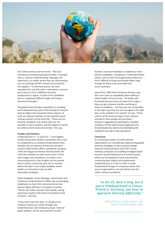

than 200 countries and territories. "We have introduced consistent guiding principles, so people have a common understanding, language and experience, no matter where they are interviewing, but our tracking and KPIs remain very localised," she explains. "In interview panels, we have mandated for one 'bar raiser' interviewer, a person who comes in from a different function, background or region, to look at the candidates from a completely different angle and bring in diversity of thought."

The global head of talent acquisition at a leading bank explained how, when interviewing for director level or higher, the investment bank requires at least one diverse member on the selection panel and two women on the short-list. "These are our diversity standards, but clearly they are not possible in every instance, and the degree to which we enforce them varies by function," she says.

#### **Hurdles and Solutions**

Leadership buy-in – or lack of it – is the biggest hurdle facing talent leaders. Sometimes this is due to complacency, as company heads believe they already have an element of diversity and don't need to make further effort; sometimes company chiefs are happy to embrace diversity down the ranks but continue to make senior hires in their own image; and, sometimes, it simply is not a resourcing priority. Data insights are the easiest way to build a convincing case, but in markets where the data is not readily available, talent leaders are forced to come up with alternative strategies.

Stella Steigleder, Senior Manager: Governance and Continuous Improvement at AMS, says encouraging employees to share their personal stories had proven highly effective in European countries. "Stories can really resonate with people, raising awareness to get to the point of acceptance and inclusion," she says.

"If you don't have the data, it's all about the inclusive culture you create through your leadership team and employee groups. External guest speakers can be very powerful as well."

Another common frustration is inability to retain diverse candidates. Companies in male-dominated sectors such as tech and engineering continue to find it difficult to hang onto female talent long enough for them to be promoted into senior positions.

Jamie Pirie, AMS Client Solutions Director, says this issue came up repeatedly when talking to talent leaders across Europe. "TA leaders get frustrated because they can meet their targets – they can get a diverse shortlist and bring in diverse candidates – but they are not on-boarded in the right way, they are not managed in the right way, so the problem isn't solved," he says. "If the culture of the business doesn't suit a diverse workforce, then people will just leave." Solutions suggested by participants included creating a formal sponsorship programme for female leadership talent and embedding DEI initiatives into day-to-day operations.

#### **Conclusion**

An increasing number of multi-national organisations are considering implementing global diversity strategies to drive cultural change, improve hiring and boost their EVP. Futurethinking companies are building strategies based around a broad framework and common goals, which can be adapted to local requirements, combining data insights and programmes. Leadership buy-in is vital in order to make fundamental changes to company culture that ensure organisations not only attract but also retain a diverse workforce.

#### *"In the US, data is king, but if you're headquartered in France, Poland or Germany, you have to approach diversity differently."*

Brett O'Connor, Client Director and Head of Transformation, AMS